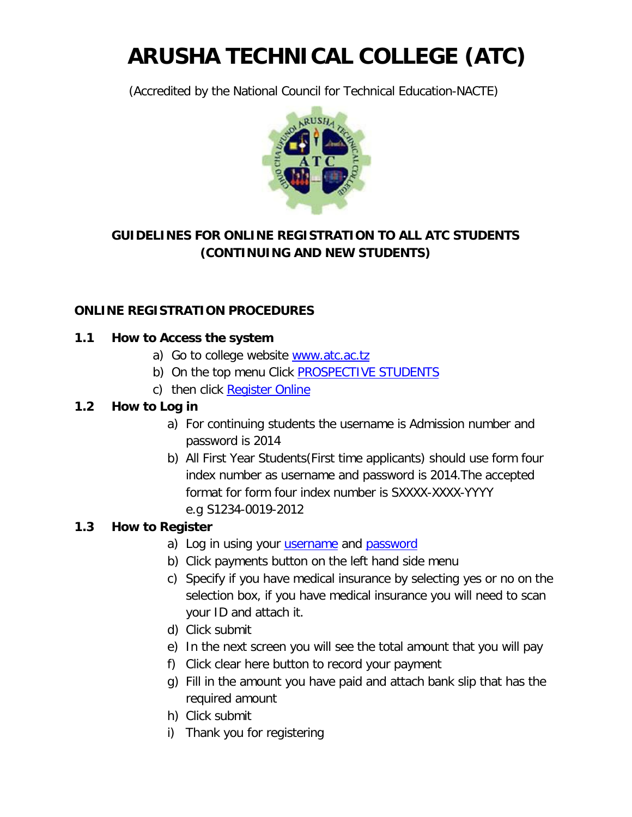# **ARUSHA TECHNICAL COLLEGE (ATC)**

(Accredited by the National Council for Technical Education-NACTE)



# **GUIDELINES FOR ONLINE REGISTRATION TO ALL ATC STUDENTS (CONTINUING AND NEW STUDENTS)**

# **ONLINE REGISTRATION PROCEDURES**

## **1.1 How to Access the system**

- a) Go to college website www.atc.ac.tz
- b) On the top menu Click **PROSPECTIVE STUDENTS**
- c) then click Register Online

#### **1.2 How to Log in**

- a) For continuing students the username is Admission number and password is 2014
- b) All First Year Students(First time applicants) should use form four index number as username and password is 2014.The accepted format for form four index number is SXXXX-XXXX-YYYY e.g S1234-0019-2012

## **1.3 How to Register**

- a) Log in using your *username* and **password**
- b) Click payments button on the left hand side menu
- c) Specify if you have medical insurance by selecting yes or no on the selection box, if you have medical insurance you will need to scan your ID and attach it.
- d) Click submit
- e) In the next screen you will see the total amount that you will pay
- f) Click clear here button to record your payment
- g) Fill in the amount you have paid and attach bank slip that has the required amount
- h) Click submit
- i) Thank you for registering